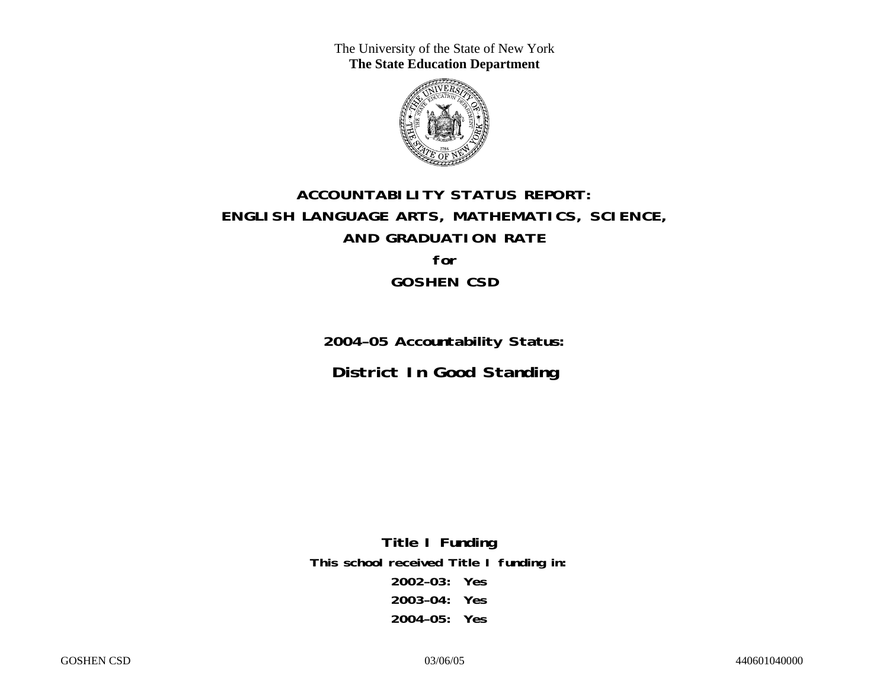The University of the State of New York **The State Education Department** 



# **ACCOUNTABILITY STATUS REPORT: ENGLISH LANGUAGE ARTS, MATHEMATICS, SCIENCE, AND GRADUATION RATE for GOSHEN CSD**

**2004–05 Accountability Status: District In Good Standing** 

**Title I Funding This school received Title I funding in: 2002–03: Yes 2003–04: Yes 2004–05: Yes**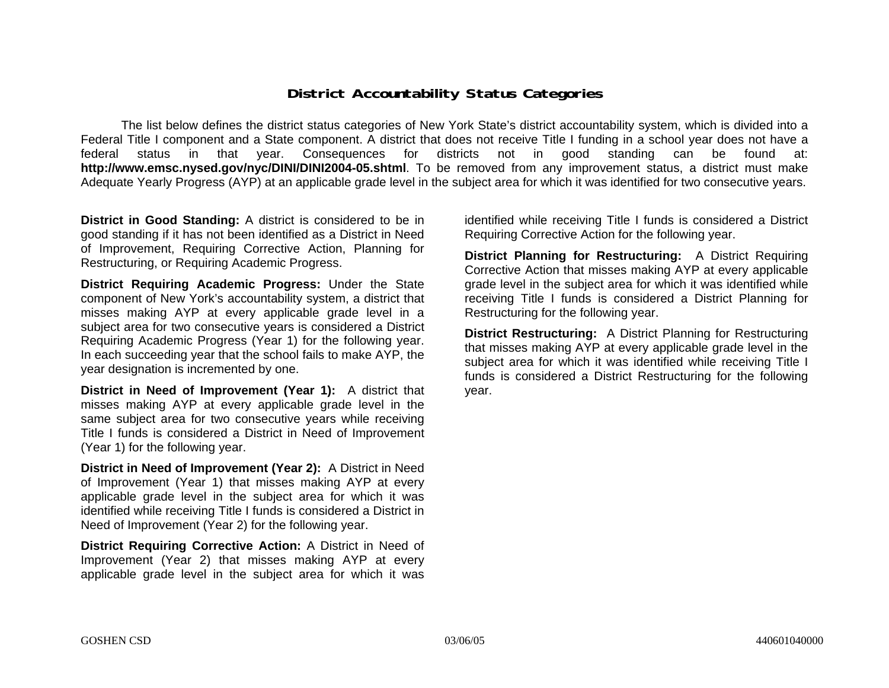### **District Accountability Status Categories**

The list below defines the district status categories of New York State's district accountability system, which is divided into a Federal Title I component and a State component. A district that does not receive Title I funding in a school year does not have a federal status in that year. Consequences for districts not in good standing can be found at: **http://www.emsc.nysed.gov/nyc/DINI/DINI2004-05.shtml**. To be removed from any improvement status, a district must make Adequate Yearly Progress (AYP) at an applicable grade level in the subject area for which it was identified for two consecutive years.

**District in Good Standing:** A district is considered to be in good standing if it has not been identified as a District in Need of Improvement, Requiring Corrective Action, Planning for Restructuring, or Requiring Academic Progress.

**District Requiring Academic Progress:** Under the State component of New York's accountability system, a district that misses making AYP at every applicable grade level in a subject area for two consecutive years is considered a District Requiring Academic Progress (Year 1) for the following year. In each succeeding year that the school fails to make AYP, the year designation is incremented by one.

**District in Need of Improvement (Year 1):** A district that misses making AYP at every applicable grade level in the same subject area for two consecutive years while receiving Title I funds is considered a District in Need of Improvement (Year 1) for the following year.

**District in Need of Improvement (Year 2):** A District in Need of Improvement (Year 1) that misses making AYP at every applicable grade level in the subject area for which it was identified while receiving Title I funds is considered a District in Need of Improvement (Year 2) for the following year.

**District Requiring Corrective Action:** A District in Need of Improvement (Year 2) that misses making AYP at every applicable grade level in the subject area for which it was

identified while receiving Title I funds is considered a District Requiring Corrective Action for the following year.

**District Planning for Restructuring:** A District Requiring Corrective Action that misses making AYP at every applicable grade level in the subject area for which it was identified while receiving Title I funds is considered a District Planning for Restructuring for the following year.

**District Restructuring:** A District Planning for Restructuring that misses making AYP at every applicable grade level in the subject area for which it was identified while receiving Title I funds is considered a District Restructuring for the following year.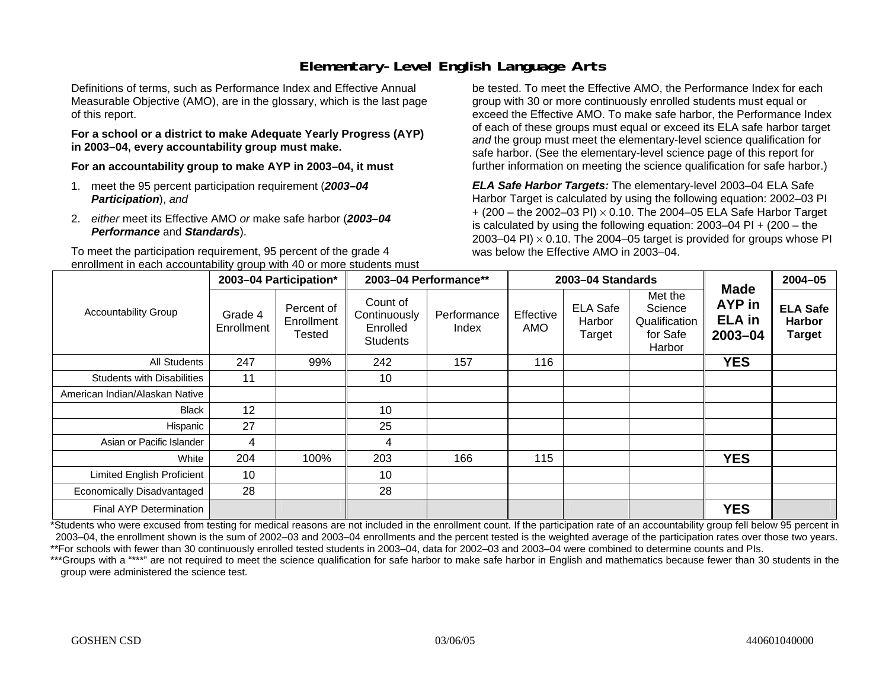## **Elementary-Level English Language Arts**

Definitions of terms, such as Performance Index and Effective Annual Measurable Objective (AMO), are in the glossary, which is the last page of this report.

#### **For a school or a district to make Adequate Yearly Progress (AYP) in 2003–04, every accountability group must make.**

**For an accountability group to make AYP in 2003–04, it must** 

- 1. meet the 95 percent participation requirement (*2003–04 Participation*), *and*
- 2. *either* meet its Effective AMO *or* make safe harbor (*2003–04 Performance* and *Standards*).

To meet the participation requirement, 95 percent of the grade 4 enrollment in each accountability group with 40 or more students must

be tested. To meet the Effective AMO, the Performance Index for each group with 30 or more continuously enrolled students must equal or exceed the Effective AMO. To make safe harbor, the Performance Index of each of these groups must equal or exceed its ELA safe harbor target *and* the group must meet the elementary-level science qualification for safe harbor. (See the elementary-level science page of this report for further information on meeting the science qualification for safe harbor.)

*ELA Safe Harbor Targets:* The elementary-level 2003–04 ELA Safe Harbor Target is calculated by using the following equation: 2002–03 PI + (200 – the 2002–03 PI) <sup>×</sup> 0.10. The 2004–05 ELA Safe Harbor Target is calculated by using the following equation:  $2003-04$  PI +  $(200 -$  the 2003–04 PI)  $\times$  0.10. The 2004–05 target is provided for groups whose PI was below the Effective AMO in 2003–04.

|                                   |                       | 2003-04 Participation*             |                                                         | 2003-04 Performance** |                         | 2003-04 Standards                   |                                                           | <b>Made</b>                                   | 2004-05                                           |
|-----------------------------------|-----------------------|------------------------------------|---------------------------------------------------------|-----------------------|-------------------------|-------------------------------------|-----------------------------------------------------------|-----------------------------------------------|---------------------------------------------------|
| <b>Accountability Group</b>       | Grade 4<br>Enrollment | Percent of<br>Enrollment<br>Tested | Count of<br>Continuously<br>Enrolled<br><b>Students</b> | Performance<br>Index  | Effective<br><b>AMO</b> | <b>ELA Safe</b><br>Harbor<br>Target | Met the<br>Science<br>Qualification<br>for Safe<br>Harbor | <b>AYP</b> in<br><b>ELA in</b><br>$2003 - 04$ | <b>ELA Safe</b><br><b>Harbor</b><br><b>Target</b> |
| <b>All Students</b>               | 247                   | 99%                                | 242                                                     | 157                   | 116                     |                                     |                                                           | <b>YES</b>                                    |                                                   |
| <b>Students with Disabilities</b> | 11                    |                                    | 10                                                      |                       |                         |                                     |                                                           |                                               |                                                   |
| American Indian/Alaskan Native    |                       |                                    |                                                         |                       |                         |                                     |                                                           |                                               |                                                   |
| <b>Black</b>                      | 12                    |                                    | 10                                                      |                       |                         |                                     |                                                           |                                               |                                                   |
| Hispanic                          | 27                    |                                    | 25                                                      |                       |                         |                                     |                                                           |                                               |                                                   |
| Asian or Pacific Islander         | 4                     |                                    | 4                                                       |                       |                         |                                     |                                                           |                                               |                                                   |
| White                             | 204                   | 100%                               | 203                                                     | 166                   | 115                     |                                     |                                                           | <b>YES</b>                                    |                                                   |
| <b>Limited English Proficient</b> | 10                    |                                    | 10                                                      |                       |                         |                                     |                                                           |                                               |                                                   |
| Economically Disadvantaged        | 28                    |                                    | 28                                                      |                       |                         |                                     |                                                           |                                               |                                                   |
| <b>Final AYP Determination</b>    |                       |                                    |                                                         |                       |                         |                                     |                                                           | <b>YES</b>                                    |                                                   |

\*Students who were excused from testing for medical reasons are not included in the enrollment count. If the participation rate of an accountability group fell below 95 percent in 2003–04, the enrollment shown is the sum of 2002–03 and 2003–04 enrollments and the percent tested is the weighted average of the participation rates over those two years. \*\*For schools with fewer than 30 continuously enrolled tested students in 2003–04, data for 2002–03 and 2003–04 were combined to determine counts and PIs.

\*\*\*Groups with a "\*\*\*" are not required to meet the science qualification for safe harbor to make safe harbor in English and mathematics because fewer than 30 students in the group were administered the science test.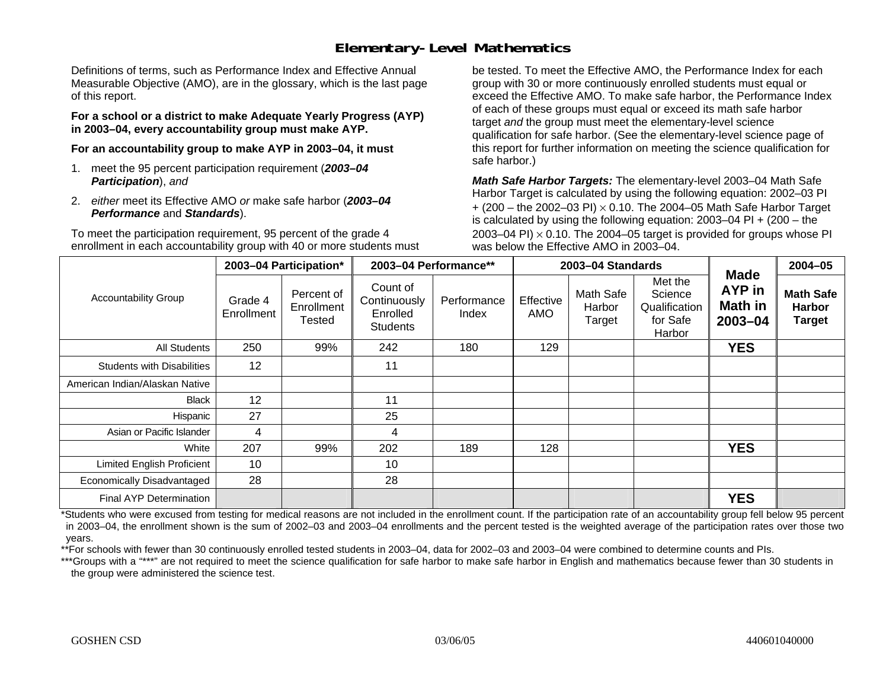### **Elementary-Level Mathematics**

Definitions of terms, such as Performance Index and Effective Annual Measurable Objective (AMO), are in the glossary, which is the last page of this report.

**For a school or a district to make Adequate Yearly Progress (AYP) in 2003–04, every accountability group must make AYP.** 

**For an accountability group to make AYP in 2003–04, it must** 

- 1. meet the 95 percent participation requirement (*2003–04 Participation*), *and*
- 2. *either* meet its Effective AMO *or* make safe harbor (*2003–04 Performance* and *Standards*).

To meet the participation requirement, 95 percent of the grade 4 enrollment in each accountability group with 40 or more students must be tested. To meet the Effective AMO, the Performance Index for each group with 30 or more continuously enrolled students must equal or exceed the Effective AMO. To make safe harbor, the Performance Index of each of these groups must equal or exceed its math safe harbor target *and* the group must meet the elementary-level science qualification for safe harbor. (See the elementary-level science page of this report for further information on meeting the science qualification for safe harbor.)

*Math Safe Harbor Targets:* The elementary-level 2003–04 Math Safe Harbor Target is calculated by using the following equation: 2002–03 PI + (200 – the 2002–03 PI) <sup>×</sup> 0.10. The 2004–05 Math Safe Harbor Target is calculated by using the following equation:  $2003-04$  PI  $+$  (200 – the 2003–04 PI)  $\times$  0.10. The 2004–05 target is provided for groups whose PI was below the Effective AMO in 2003–04.

|                                   |                       | 2003-04 Participation*             |                                                         | 2003-04 Performance** |                  | 2003-04 Standards             |                                                           |                                                    | 2004-05                                            |
|-----------------------------------|-----------------------|------------------------------------|---------------------------------------------------------|-----------------------|------------------|-------------------------------|-----------------------------------------------------------|----------------------------------------------------|----------------------------------------------------|
| <b>Accountability Group</b>       | Grade 4<br>Enrollment | Percent of<br>Enrollment<br>Tested | Count of<br>Continuously<br>Enrolled<br><b>Students</b> | Performance<br>Index  | Effective<br>AMO | Math Safe<br>Harbor<br>Target | Met the<br>Science<br>Qualification<br>for Safe<br>Harbor | <b>Made</b><br><b>AYP</b> in<br>Math in<br>2003-04 | <b>Math Safe</b><br><b>Harbor</b><br><b>Target</b> |
| All Students                      | 250                   | 99%                                | 242                                                     | 180                   | 129              |                               |                                                           | <b>YES</b>                                         |                                                    |
| <b>Students with Disabilities</b> | 12                    |                                    | 11                                                      |                       |                  |                               |                                                           |                                                    |                                                    |
| American Indian/Alaskan Native    |                       |                                    |                                                         |                       |                  |                               |                                                           |                                                    |                                                    |
| <b>Black</b>                      | 12                    |                                    | 11                                                      |                       |                  |                               |                                                           |                                                    |                                                    |
| Hispanic                          | 27                    |                                    | 25                                                      |                       |                  |                               |                                                           |                                                    |                                                    |
| Asian or Pacific Islander         | 4                     |                                    | 4                                                       |                       |                  |                               |                                                           |                                                    |                                                    |
| White                             | 207                   | 99%                                | 202                                                     | 189                   | 128              |                               |                                                           | <b>YES</b>                                         |                                                    |
| <b>Limited English Proficient</b> | 10                    |                                    | 10                                                      |                       |                  |                               |                                                           |                                                    |                                                    |
| Economically Disadvantaged        | 28                    |                                    | 28                                                      |                       |                  |                               |                                                           |                                                    |                                                    |
| <b>Final AYP Determination</b>    |                       |                                    |                                                         |                       |                  |                               |                                                           | <b>YES</b>                                         |                                                    |

\*Students who were excused from testing for medical reasons are not included in the enrollment count. If the participation rate of an accountability group fell below 95 percent in 2003–04, the enrollment shown is the sum of 2002–03 and 2003–04 enrollments and the percent tested is the weighted average of the participation rates over those two years.

\*\*For schools with fewer than 30 continuously enrolled tested students in 2003–04, data for 2002–03 and 2003–04 were combined to determine counts and PIs.

\*\*\*Groups with a "\*\*\*" are not required to meet the science qualification for safe harbor to make safe harbor in English and mathematics because fewer than 30 students in the group were administered the science test.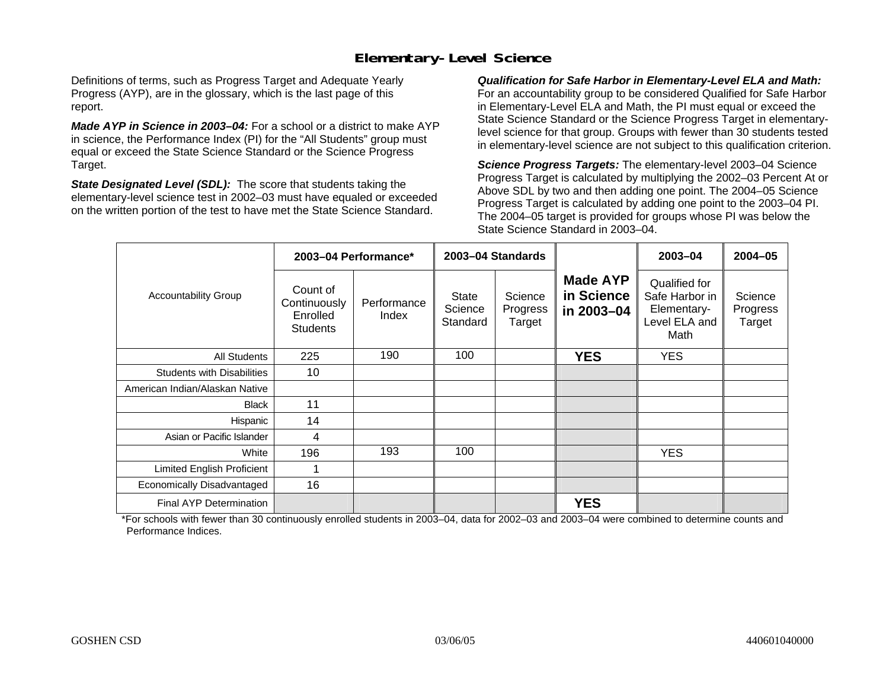## **Elementary-Level Science**

Definitions of terms, such as Progress Target and Adequate Yearly Progress (AYP), are in the glossary, which is the last page of this report.

*Made AYP in Science in 2003–04:* For a school or a district to make AYP in science, the Performance Index (PI) for the "All Students" group must equal or exceed the State Science Standard or the Science Progress Target.

*State Designated Level (SDL):* The score that students taking the elementary-level science test in 2002–03 must have equaled or exceeded on the written portion of the test to have met the State Science Standard.

*Qualification for Safe Harbor in Elementary-Level ELA and Math:* For an accountability group to be considered Qualified for Safe Harbor in Elementary-Level ELA and Math, the PI must equal or exceed the State Science Standard or the Science Progress Target in elementarylevel science for that group. Groups with fewer than 30 students tested in elementary-level science are not subject to this qualification criterion.

*Science Progress Targets:* The elementary-level 2003–04 Science Progress Target is calculated by multiplying the 2002–03 Percent At or Above SDL by two and then adding one point. The 2004–05 Science Progress Target is calculated by adding one point to the 2003–04 PI. The 2004–05 target is provided for groups whose PI was below the State Science Standard in 2003–04.

|                                   |                                                         | 2003-04 Performance* |                                     | 2003-04 Standards             |                                             | $2003 - 04$                                                             | $2004 - 05$                   |
|-----------------------------------|---------------------------------------------------------|----------------------|-------------------------------------|-------------------------------|---------------------------------------------|-------------------------------------------------------------------------|-------------------------------|
| <b>Accountability Group</b>       | Count of<br>Continuously<br>Enrolled<br><b>Students</b> | Performance<br>Index | <b>State</b><br>Science<br>Standard | Science<br>Progress<br>Target | <b>Made AYP</b><br>in Science<br>in 2003-04 | Qualified for<br>Safe Harbor in<br>Elementary-<br>Level ELA and<br>Math | Science<br>Progress<br>Target |
| All Students                      | 225                                                     | 190                  | 100                                 |                               | <b>YES</b>                                  | <b>YES</b>                                                              |                               |
| <b>Students with Disabilities</b> | 10                                                      |                      |                                     |                               |                                             |                                                                         |                               |
| American Indian/Alaskan Native    |                                                         |                      |                                     |                               |                                             |                                                                         |                               |
| <b>Black</b>                      | 11                                                      |                      |                                     |                               |                                             |                                                                         |                               |
| Hispanic                          | 14                                                      |                      |                                     |                               |                                             |                                                                         |                               |
| Asian or Pacific Islander         | 4                                                       |                      |                                     |                               |                                             |                                                                         |                               |
| White                             | 196                                                     | 193                  | 100                                 |                               |                                             | <b>YES</b>                                                              |                               |
| Limited English Proficient        | 1                                                       |                      |                                     |                               |                                             |                                                                         |                               |
| Economically Disadvantaged        | 16                                                      |                      |                                     |                               |                                             |                                                                         |                               |
| <b>Final AYP Determination</b>    |                                                         |                      |                                     |                               | <b>YES</b>                                  |                                                                         |                               |

\*For schools with fewer than 30 continuously enrolled students in 2003–04, data for 2002–03 and 2003–04 were combined to determine counts and Performance Indices.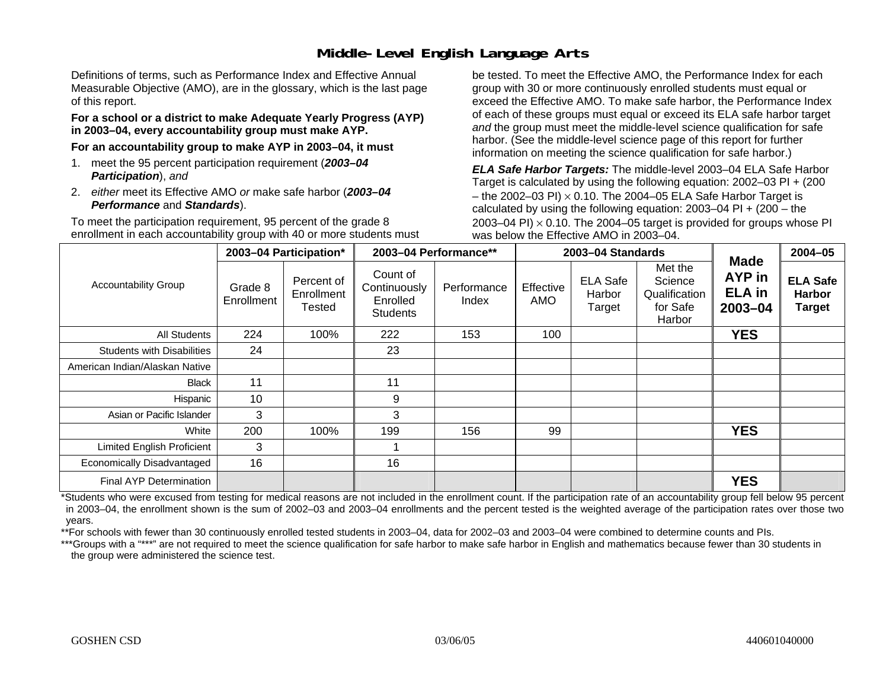## **Middle-Level English Language Arts**

Definitions of terms, such as Performance Index and Effective Annual Measurable Objective (AMO), are in the glossary, which is the last page of this report.

#### **For a school or a district to make Adequate Yearly Progress (AYP) in 2003–04, every accountability group must make AYP.**

**For an accountability group to make AYP in 2003–04, it must** 

- 1. meet the 95 percent participation requirement (*2003–04 Participation*), *and*
- 2. *either* meet its Effective AMO *or* make safe harbor (*2003–04 Performance* and *Standards*).

To meet the participation requirement, 95 percent of the grade 8 enrollment in each accountability group with 40 or more students must be tested. To meet the Effective AMO, the Performance Index for each group with 30 or more continuously enrolled students must equal or exceed the Effective AMO. To make safe harbor, the Performance Index of each of these groups must equal or exceed its ELA safe harbor target *and* the group must meet the middle-level science qualification for safe harbor. (See the middle-level science page of this report for further information on meeting the science qualification for safe harbor.)

*ELA Safe Harbor Targets:* The middle-level 2003–04 ELA Safe Harbor Target is calculated by using the following equation: 2002–03 PI + (200 – the 2002–03 PI)  $\times$  0.10. The 2004–05 ELA Safe Harbor Target is calculated by using the following equation:  $2003-04$  PI +  $(200 -$ the 2003–04 PI)  $\times$  0.10. The 2004–05 target is provided for groups whose PI was below the Effective AMO in 2003–04.

|                                   |                       | 2003-04 Participation*             |                                                         | 2003-04 Performance** |                  | 2003-04 Standards                   |                                                           | <b>Made</b>                                   | 2004-05                                           |
|-----------------------------------|-----------------------|------------------------------------|---------------------------------------------------------|-----------------------|------------------|-------------------------------------|-----------------------------------------------------------|-----------------------------------------------|---------------------------------------------------|
| <b>Accountability Group</b>       | Grade 8<br>Enrollment | Percent of<br>Enrollment<br>Tested | Count of<br>Continuously<br>Enrolled<br><b>Students</b> | Performance<br>Index  | Effective<br>AMO | <b>ELA Safe</b><br>Harbor<br>Target | Met the<br>Science<br>Qualification<br>for Safe<br>Harbor | <b>AYP</b> in<br><b>ELA in</b><br>$2003 - 04$ | <b>ELA Safe</b><br><b>Harbor</b><br><b>Target</b> |
| <b>All Students</b>               | 224                   | 100%                               | 222                                                     | 153                   | 100              |                                     |                                                           | <b>YES</b>                                    |                                                   |
| <b>Students with Disabilities</b> | 24                    |                                    | 23                                                      |                       |                  |                                     |                                                           |                                               |                                                   |
| American Indian/Alaskan Native    |                       |                                    |                                                         |                       |                  |                                     |                                                           |                                               |                                                   |
| <b>Black</b>                      | 11                    |                                    | 11                                                      |                       |                  |                                     |                                                           |                                               |                                                   |
| Hispanic                          | 10                    |                                    | 9                                                       |                       |                  |                                     |                                                           |                                               |                                                   |
| Asian or Pacific Islander         | 3                     |                                    | 3                                                       |                       |                  |                                     |                                                           |                                               |                                                   |
| White                             | 200                   | 100%                               | 199                                                     | 156                   | 99               |                                     |                                                           | <b>YES</b>                                    |                                                   |
| Limited English Proficient        | 3                     |                                    |                                                         |                       |                  |                                     |                                                           |                                               |                                                   |
| Economically Disadvantaged        | 16                    |                                    | 16                                                      |                       |                  |                                     |                                                           |                                               |                                                   |
| <b>Final AYP Determination</b>    |                       |                                    |                                                         |                       |                  |                                     |                                                           | <b>YES</b>                                    |                                                   |

\*Students who were excused from testing for medical reasons are not included in the enrollment count. If the participation rate of an accountability group fell below 95 percent in 2003–04, the enrollment shown is the sum of 2002–03 and 2003–04 enrollments and the percent tested is the weighted average of the participation rates over those two years.

\*\*For schools with fewer than 30 continuously enrolled tested students in 2003–04, data for 2002–03 and 2003–04 were combined to determine counts and PIs.

\*\*\*Groups with a "\*\*\*" are not required to meet the science qualification for safe harbor to make safe harbor in English and mathematics because fewer than 30 students in the group were administered the science test.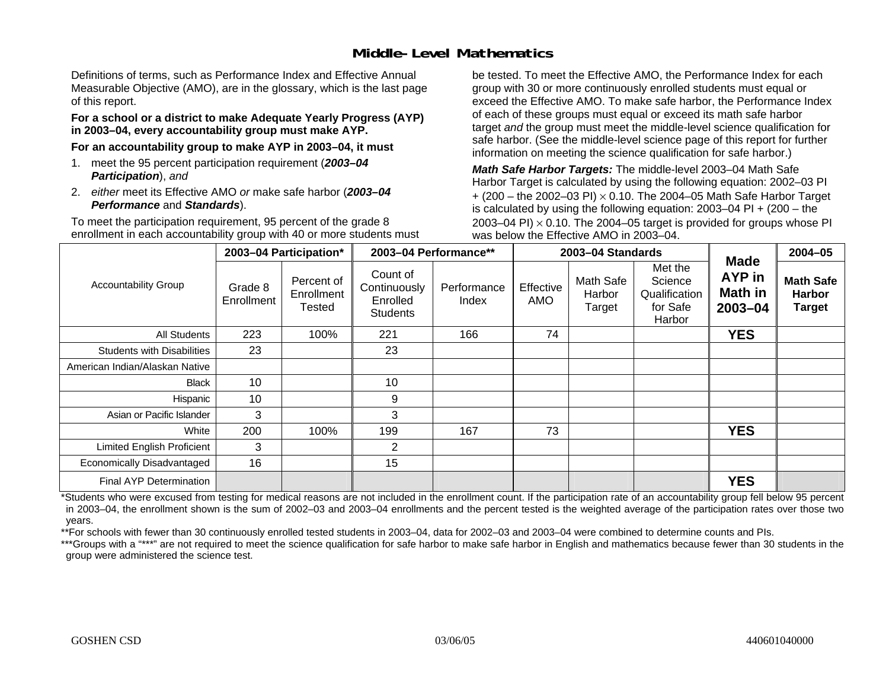## **Middle-Level Mathematics**

Definitions of terms, such as Performance Index and Effective Annual Measurable Objective (AMO), are in the glossary, which is the last page of this report.

#### **For a school or a district to make Adequate Yearly Progress (AYP) in 2003–04, every accountability group must make AYP.**

**For an accountability group to make AYP in 2003–04, it must** 

- 1. meet the 95 percent participation requirement (*2003–04 Participation*), *and*
- 2. *either* meet its Effective AMO *or* make safe harbor (*2003–04 Performance* and *Standards*).

To meet the participation requirement, 95 percent of the grade 8 enrollment in each accountability group with 40 or more students must be tested. To meet the Effective AMO, the Performance Index for each group with 30 or more continuously enrolled students must equal or exceed the Effective AMO. To make safe harbor, the Performance Index of each of these groups must equal or exceed its math safe harbor target *and* the group must meet the middle-level science qualification for safe harbor. (See the middle-level science page of this report for further information on meeting the science qualification for safe harbor.)

*Math Safe Harbor Targets:* The middle-level 2003–04 Math Safe Harbor Target is calculated by using the following equation: 2002–03 PI + (200 – the 2002–03 PI) <sup>×</sup> 0.10. The 2004–05 Math Safe Harbor Target is calculated by using the following equation: 2003–04 PI + (200 – the 2003–04 PI)  $\times$  0.10. The 2004–05 target is provided for groups whose PI was below the Effective AMO in 2003–04.

|                                   |                       | 2003-04 Participation*             |                                                         | 2003-04 Performance** |                  | 2003-04 Standards             |                                                           | <b>Made</b>                                    | $2004 - 05$                                        |
|-----------------------------------|-----------------------|------------------------------------|---------------------------------------------------------|-----------------------|------------------|-------------------------------|-----------------------------------------------------------|------------------------------------------------|----------------------------------------------------|
| <b>Accountability Group</b>       | Grade 8<br>Enrollment | Percent of<br>Enrollment<br>Tested | Count of<br>Continuously<br>Enrolled<br><b>Students</b> | Performance<br>Index  | Effective<br>AMO | Math Safe<br>Harbor<br>Target | Met the<br>Science<br>Qualification<br>for Safe<br>Harbor | <b>AYP</b> in<br><b>Math in</b><br>$2003 - 04$ | <b>Math Safe</b><br><b>Harbor</b><br><b>Target</b> |
| All Students                      | 223                   | 100%                               | 221                                                     | 166                   | 74               |                               |                                                           | <b>YES</b>                                     |                                                    |
| <b>Students with Disabilities</b> | 23                    |                                    | 23                                                      |                       |                  |                               |                                                           |                                                |                                                    |
| American Indian/Alaskan Native    |                       |                                    |                                                         |                       |                  |                               |                                                           |                                                |                                                    |
| <b>Black</b>                      | 10                    |                                    | 10                                                      |                       |                  |                               |                                                           |                                                |                                                    |
| Hispanic                          | 10                    |                                    | 9                                                       |                       |                  |                               |                                                           |                                                |                                                    |
| Asian or Pacific Islander         | 3                     |                                    | 3                                                       |                       |                  |                               |                                                           |                                                |                                                    |
| White                             | 200                   | 100%                               | 199                                                     | 167                   | 73               |                               |                                                           | <b>YES</b>                                     |                                                    |
| <b>Limited English Proficient</b> | 3                     |                                    | $\overline{2}$                                          |                       |                  |                               |                                                           |                                                |                                                    |
| Economically Disadvantaged        | 16                    |                                    | 15                                                      |                       |                  |                               |                                                           |                                                |                                                    |
| <b>Final AYP Determination</b>    |                       |                                    |                                                         |                       |                  |                               |                                                           | <b>YES</b>                                     |                                                    |

\*Students who were excused from testing for medical reasons are not included in the enrollment count. If the participation rate of an accountability group fell below 95 percent in 2003–04, the enrollment shown is the sum of 2002–03 and 2003–04 enrollments and the percent tested is the weighted average of the participation rates over those two years.

\*\*For schools with fewer than 30 continuously enrolled tested students in 2003–04, data for 2002–03 and 2003–04 were combined to determine counts and PIs.

\*\*\*Groups with a "\*\*\*" are not required to meet the science qualification for safe harbor to make safe harbor in English and mathematics because fewer than 30 students in the group were administered the science test.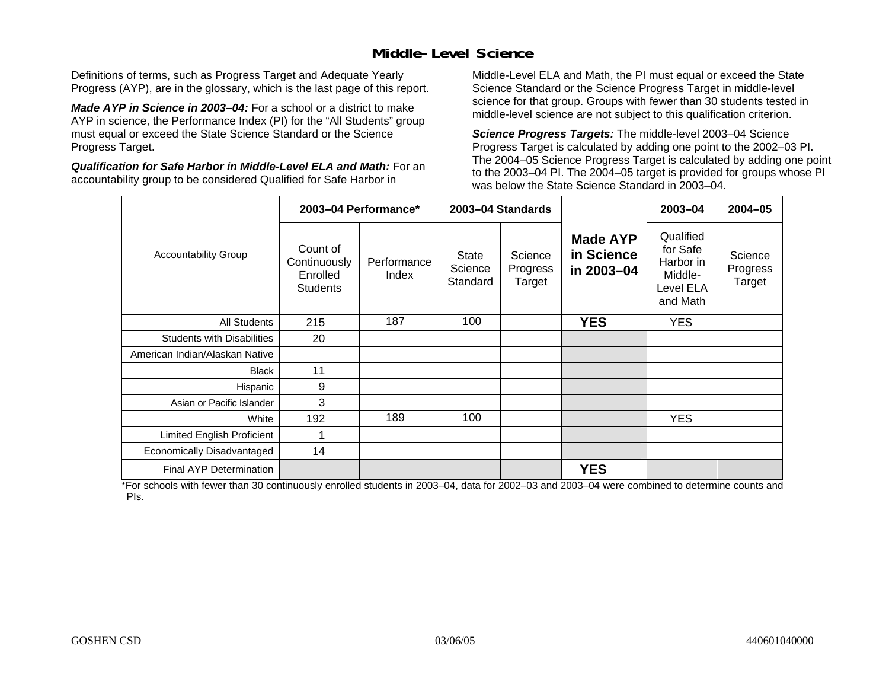## **Middle-Level Science**

Definitions of terms, such as Progress Target and Adequate Yearly Progress (AYP), are in the glossary, which is the last page of this report.

*Made AYP in Science in 2003–04:* For a school or a district to make AYP in science, the Performance Index (PI) for the "All Students" group must equal or exceed the State Science Standard or the Science Progress Target.

*Qualification for Safe Harbor in Middle-Level ELA and Math:* For an accountability group to be considered Qualified for Safe Harbor in

Middle-Level ELA and Math, the PI must equal or exceed the State Science Standard or the Science Progress Target in middle-level science for that group. Groups with fewer than 30 students tested in middle-level science are not subject to this qualification criterion.

*Science Progress Targets:* The middle-level 2003–04 Science Progress Target is calculated by adding one point to the 2002–03 PI. The 2004–05 Science Progress Target is calculated by adding one point to the 2003–04 PI. The 2004–05 target is provided for groups whose PI was below the State Science Standard in 2003–04.

|                                   |                                                         | 2003-04 Performance* |                              | 2003-04 Standards             |                                             | 2003-04                                                                | $2004 - 05$                   |
|-----------------------------------|---------------------------------------------------------|----------------------|------------------------------|-------------------------------|---------------------------------------------|------------------------------------------------------------------------|-------------------------------|
| <b>Accountability Group</b>       | Count of<br>Continuously<br>Enrolled<br><b>Students</b> | Performance<br>Index | State<br>Science<br>Standard | Science<br>Progress<br>Target | <b>Made AYP</b><br>in Science<br>in 2003-04 | Qualified<br>for Safe<br>Harbor in<br>Middle-<br>Level ELA<br>and Math | Science<br>Progress<br>Target |
| <b>All Students</b>               | 215                                                     | 187                  | 100                          |                               | <b>YES</b>                                  | <b>YES</b>                                                             |                               |
| <b>Students with Disabilities</b> | 20                                                      |                      |                              |                               |                                             |                                                                        |                               |
| American Indian/Alaskan Native    |                                                         |                      |                              |                               |                                             |                                                                        |                               |
| <b>Black</b>                      | 11                                                      |                      |                              |                               |                                             |                                                                        |                               |
| Hispanic                          | 9                                                       |                      |                              |                               |                                             |                                                                        |                               |
| Asian or Pacific Islander         | 3                                                       |                      |                              |                               |                                             |                                                                        |                               |
| White                             | 192                                                     | 189                  | 100                          |                               |                                             | <b>YES</b>                                                             |                               |
| <b>Limited English Proficient</b> | 1                                                       |                      |                              |                               |                                             |                                                                        |                               |
| Economically Disadvantaged        | 14                                                      |                      |                              |                               |                                             |                                                                        |                               |
| Final AYP Determination           |                                                         |                      |                              |                               | <b>YES</b>                                  |                                                                        |                               |

\*For schools with fewer than 30 continuously enrolled students in 2003–04, data for 2002–03 and 2003–04 were combined to determine counts and PIs.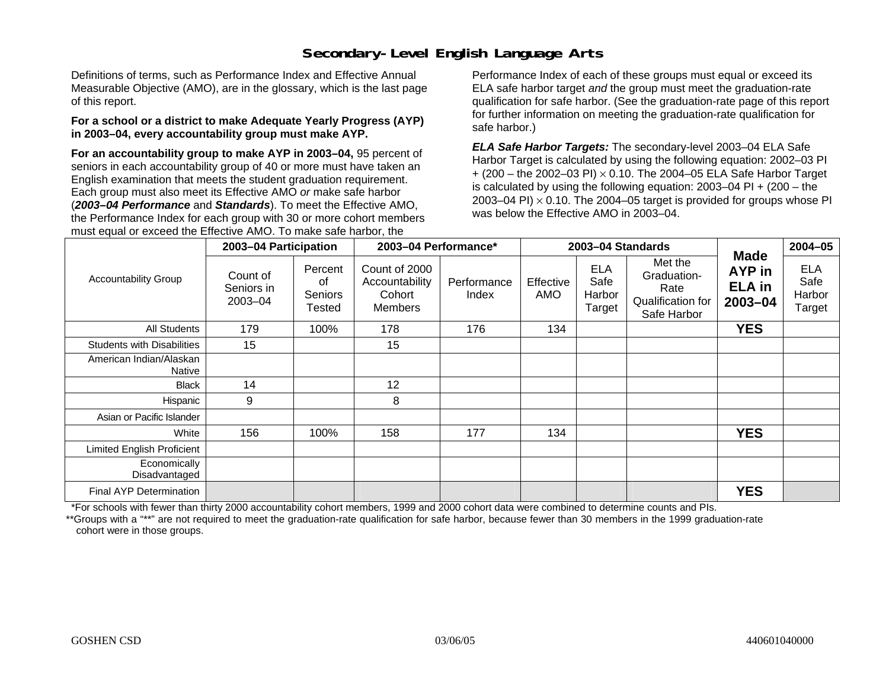## **Secondary-Level English Language Arts**

Definitions of terms, such as Performance Index and Effective Annual Measurable Objective (AMO), are in the glossary, which is the last page of this report.

#### **For a school or a district to make Adequate Yearly Progress (AYP) in 2003–04, every accountability group must make AYP.**

**For an accountability group to make AYP in 2003–04,** 95 percent of seniors in each accountability group of 40 or more must have taken an English examination that meets the student graduation requirement. Each group must also meet its Effective AMO *or* make safe harbor (*2003–04 Performance* and *Standards*). To meet the Effective AMO, the Performance Index for each group with 30 or more cohort members must equal or exceed the Effective AMO. To make safe harbor, the

Performance Index of each of these groups must equal or exceed its ELA safe harbor target *and* the group must meet the graduation-rate qualification for safe harbor. (See the graduation-rate page of this report for further information on meeting the graduation-rate qualification for safe harbor.)

*ELA Safe Harbor Targets:* The secondary-level 2003–04 ELA Safe Harbor Target is calculated by using the following equation: 2002–03 PI + (200 – the 2002–03 PI) <sup>×</sup> 0.10. The 2004–05 ELA Safe Harbor Target is calculated by using the following equation: 2003–04 PI + (200 – the 2003–04 PI)  $\times$  0.10. The 2004–05 target is provided for groups whose PI was below the Effective AMO in 2003–04.

|                                   | 2003-04 Participation             |                                    | 2003-04 Performance*                                        |                      |                  | 2003-04 Standards                      |                                                                    |                                                   | $2004 - 05$                            |
|-----------------------------------|-----------------------------------|------------------------------------|-------------------------------------------------------------|----------------------|------------------|----------------------------------------|--------------------------------------------------------------------|---------------------------------------------------|----------------------------------------|
| <b>Accountability Group</b>       | Count of<br>Seniors in<br>2003-04 | Percent<br>οf<br>Seniors<br>Tested | Count of 2000<br>Accountability<br>Cohort<br><b>Members</b> | Performance<br>Index | Effective<br>AMO | <b>ELA</b><br>Safe<br>Harbor<br>Target | Met the<br>Graduation-<br>Rate<br>Qualification for<br>Safe Harbor | <b>Made</b><br>AYP in<br><b>ELA</b> in<br>2003-04 | <b>ELA</b><br>Safe<br>Harbor<br>Target |
| <b>All Students</b>               | 179                               | 100%                               | 178                                                         | 176                  | 134              |                                        |                                                                    | <b>YES</b>                                        |                                        |
| <b>Students with Disabilities</b> | 15                                |                                    | 15                                                          |                      |                  |                                        |                                                                    |                                                   |                                        |
| American Indian/Alaskan<br>Native |                                   |                                    |                                                             |                      |                  |                                        |                                                                    |                                                   |                                        |
| <b>Black</b>                      | 14                                |                                    | 12                                                          |                      |                  |                                        |                                                                    |                                                   |                                        |
| Hispanic                          | 9                                 |                                    | 8                                                           |                      |                  |                                        |                                                                    |                                                   |                                        |
| Asian or Pacific Islander         |                                   |                                    |                                                             |                      |                  |                                        |                                                                    |                                                   |                                        |
| White                             | 156                               | 100%                               | 158                                                         | 177                  | 134              |                                        |                                                                    | <b>YES</b>                                        |                                        |
| <b>Limited English Proficient</b> |                                   |                                    |                                                             |                      |                  |                                        |                                                                    |                                                   |                                        |
| Economically<br>Disadvantaged     |                                   |                                    |                                                             |                      |                  |                                        |                                                                    |                                                   |                                        |
| Final AYP Determination           |                                   |                                    |                                                             |                      |                  |                                        |                                                                    | <b>YES</b>                                        |                                        |

\*For schools with fewer than thirty 2000 accountability cohort members, 1999 and 2000 cohort data were combined to determine counts and PIs.

\*\*Groups with a "\*\*" are not required to meet the graduation-rate qualification for safe harbor, because fewer than 30 members in the 1999 graduation-rate cohort were in those groups.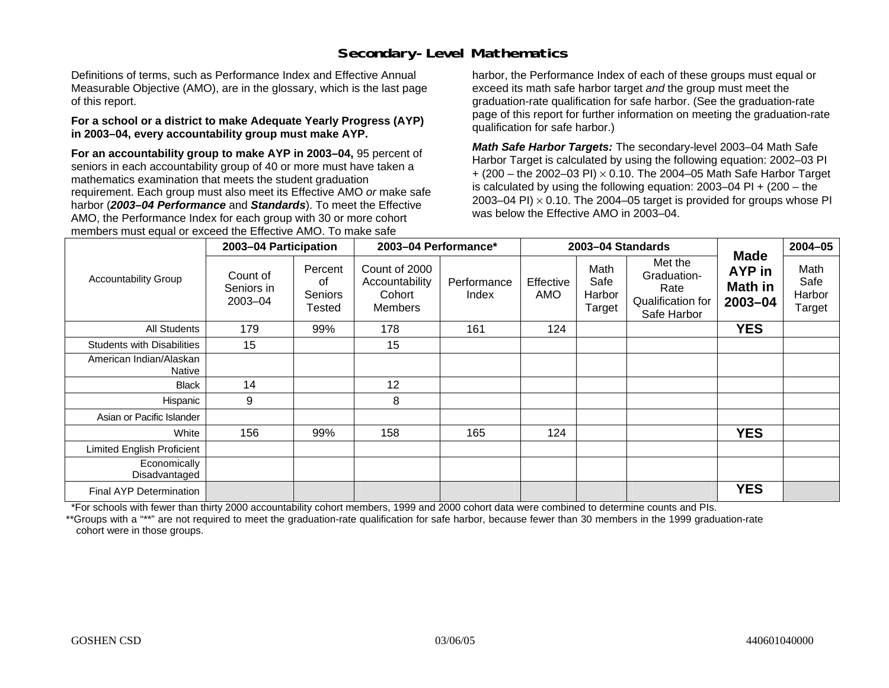## **Secondary-Level Mathematics**

Definitions of terms, such as Performance Index and Effective Annual Measurable Objective (AMO), are in the glossary, which is the last page of this report.

#### **For a school or a district to make Adequate Yearly Progress (AYP) in 2003–04, every accountability group must make AYP.**

**For an accountability group to make AYP in 2003–04,** 95 percent of seniors in each accountability group of 40 or more must have taken a mathematics examination that meets the student graduation requirement. Each group must also meet its Effective AMO *or* make safe harbor (*2003–04 Performance* and *Standards*). To meet the Effective AMO, the Performance Index for each group with 30 or more cohort members must equal or exceed the Effective AMO. To make safe

harbor, the Performance Index of each of these groups must equal or exceed its math safe harbor target *and* the group must meet the graduation-rate qualification for safe harbor. (See the graduation-rate page of this report for further information on meeting the graduation-rate qualification for safe harbor.)

*Math Safe Harbor Targets:* The secondary-level 2003–04 Math Safe Harbor Target is calculated by using the following equation: 2002–03 PI + (200 – the 2002–03 PI) <sup>×</sup> 0.10. The 2004–05 Math Safe Harbor Target is calculated by using the following equation: 2003–04 PI + (200 – the 2003–04 PI)  $\times$  0.10. The 2004–05 target is provided for groups whose PI was below the Effective AMO in 2003–04.

|                                   | 2003-04 Participation             |                                    | 2003-04 Performance*                                        |                      |                  | 2003-04 Standards                |                                                                    |                                                           | $2004 - 05$                      |
|-----------------------------------|-----------------------------------|------------------------------------|-------------------------------------------------------------|----------------------|------------------|----------------------------------|--------------------------------------------------------------------|-----------------------------------------------------------|----------------------------------|
| <b>Accountability Group</b>       | Count of<br>Seniors in<br>2003-04 | Percent<br>οf<br>Seniors<br>Tested | Count of 2000<br>Accountability<br>Cohort<br><b>Members</b> | Performance<br>Index | Effective<br>AMO | Math<br>Safe<br>Harbor<br>Target | Met the<br>Graduation-<br>Rate<br>Qualification for<br>Safe Harbor | <b>Made</b><br><b>AYP</b> in<br><b>Math in</b><br>2003-04 | Math<br>Safe<br>Harbor<br>Target |
| All Students                      | 179                               | 99%                                | 178                                                         | 161                  | 124              |                                  |                                                                    | <b>YES</b>                                                |                                  |
| <b>Students with Disabilities</b> | 15                                |                                    | 15                                                          |                      |                  |                                  |                                                                    |                                                           |                                  |
| American Indian/Alaskan<br>Native |                                   |                                    |                                                             |                      |                  |                                  |                                                                    |                                                           |                                  |
| <b>Black</b>                      | 14                                |                                    | 12                                                          |                      |                  |                                  |                                                                    |                                                           |                                  |
| Hispanic                          | 9                                 |                                    | 8                                                           |                      |                  |                                  |                                                                    |                                                           |                                  |
| Asian or Pacific Islander         |                                   |                                    |                                                             |                      |                  |                                  |                                                                    |                                                           |                                  |
| White                             | 156                               | 99%                                | 158                                                         | 165                  | 124              |                                  |                                                                    | <b>YES</b>                                                |                                  |
| <b>Limited English Proficient</b> |                                   |                                    |                                                             |                      |                  |                                  |                                                                    |                                                           |                                  |
| Economically<br>Disadvantaged     |                                   |                                    |                                                             |                      |                  |                                  |                                                                    |                                                           |                                  |
| Final AYP Determination           |                                   |                                    |                                                             |                      |                  |                                  |                                                                    | <b>YES</b>                                                |                                  |

\*For schools with fewer than thirty 2000 accountability cohort members, 1999 and 2000 cohort data were combined to determine counts and PIs.

\*\*Groups with a "\*\*" are not required to meet the graduation-rate qualification for safe harbor, because fewer than 30 members in the 1999 graduation-rate cohort were in those groups.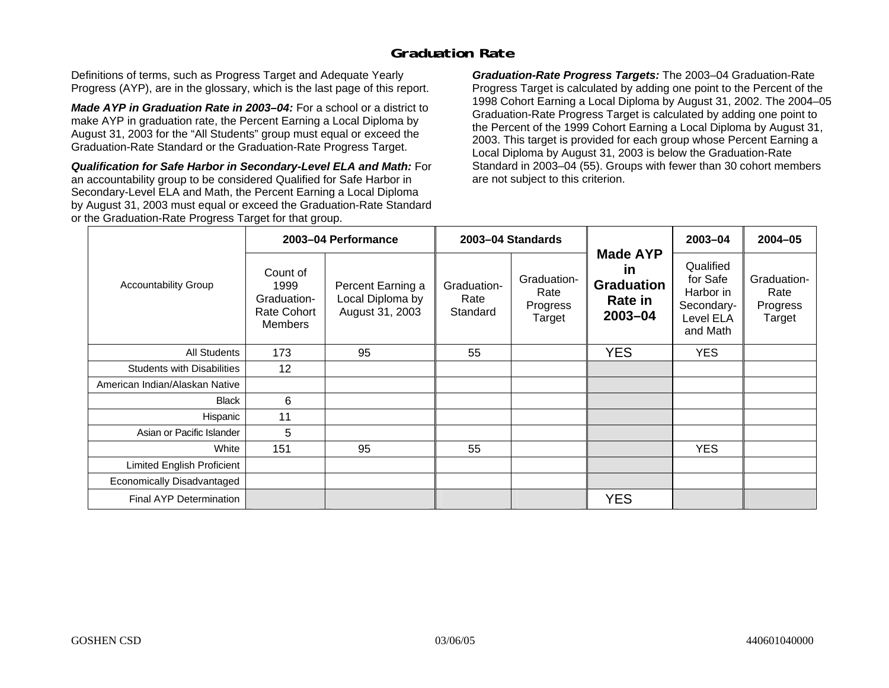## **Graduation Rate**

Definitions of terms, such as Progress Target and Adequate Yearly Progress (AYP), are in the glossary, which is the last page of this report.

*Made AYP in Graduation Rate in 2003–04:* For a school or a district to make AYP in graduation rate, the Percent Earning a Local Diploma by August 31, 2003 for the "All Students" group must equal or exceed the Graduation-Rate Standard or the Graduation-Rate Progress Target.

*Qualification for Safe Harbor in Secondary-Level ELA and Math:* For an accountability group to be considered Qualified for Safe Harbor in Secondary-Level ELA and Math, the Percent Earning a Local Diploma by August 31, 2003 must equal or exceed the Graduation-Rate Standard or the Graduation-Rate Progress Target for that group.

*Graduation-Rate Progress Targets:* The 2003–04 Graduation-Rate Progress Target is calculated by adding one point to the Percent of the 1998 Cohort Earning a Local Diploma by August 31, 2002. The 2004–05 Graduation-Rate Progress Target is calculated by adding one point to the Percent of the 1999 Cohort Earning a Local Diploma by August 31, 2003. This target is provided for each group whose Percent Earning a Local Diploma by August 31, 2003 is below the Graduation-Rate Standard in 2003–04 (55). Groups with fewer than 30 cohort members are not subject to this criterion.

|                                   |                                                                  | 2003-04 Performance                                      |                                 | 2003-04 Standards                         |                                                                         | 2003-04                                                                   | $2004 - 05$                               |
|-----------------------------------|------------------------------------------------------------------|----------------------------------------------------------|---------------------------------|-------------------------------------------|-------------------------------------------------------------------------|---------------------------------------------------------------------------|-------------------------------------------|
| <b>Accountability Group</b>       | Count of<br>1999<br>Graduation-<br>Rate Cohort<br><b>Members</b> | Percent Earning a<br>Local Diploma by<br>August 31, 2003 | Graduation-<br>Rate<br>Standard | Graduation-<br>Rate<br>Progress<br>Target | <b>Made AYP</b><br><u>in</u><br><b>Graduation</b><br>Rate in<br>2003-04 | Qualified<br>for Safe<br>Harbor in<br>Secondary-<br>Level ELA<br>and Math | Graduation-<br>Rate<br>Progress<br>Target |
| All Students                      | 173                                                              | 95                                                       | 55                              |                                           | <b>YES</b>                                                              | <b>YES</b>                                                                |                                           |
| <b>Students with Disabilities</b> | 12                                                               |                                                          |                                 |                                           |                                                                         |                                                                           |                                           |
| American Indian/Alaskan Native    |                                                                  |                                                          |                                 |                                           |                                                                         |                                                                           |                                           |
| <b>Black</b>                      | 6                                                                |                                                          |                                 |                                           |                                                                         |                                                                           |                                           |
| Hispanic                          | 11                                                               |                                                          |                                 |                                           |                                                                         |                                                                           |                                           |
| Asian or Pacific Islander         | 5                                                                |                                                          |                                 |                                           |                                                                         |                                                                           |                                           |
| White                             | 151                                                              | 95                                                       | 55                              |                                           |                                                                         | <b>YES</b>                                                                |                                           |
| Limited English Proficient        |                                                                  |                                                          |                                 |                                           |                                                                         |                                                                           |                                           |
| Economically Disadvantaged        |                                                                  |                                                          |                                 |                                           |                                                                         |                                                                           |                                           |
| <b>Final AYP Determination</b>    |                                                                  |                                                          |                                 |                                           | <b>YES</b>                                                              |                                                                           |                                           |